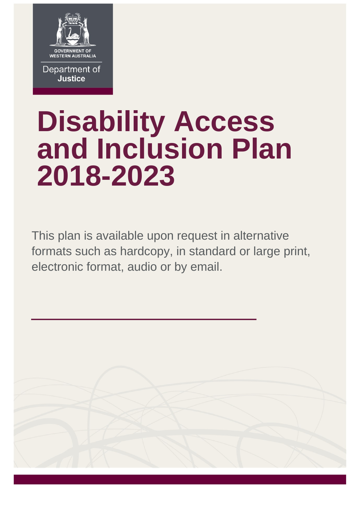

Department of Justice

# **Disability Access and Inclusion Plan 2018-2023**

This plan is available upon request in alternative formats such as hardcopy, in standard or large print, electronic format, audio or by email.

1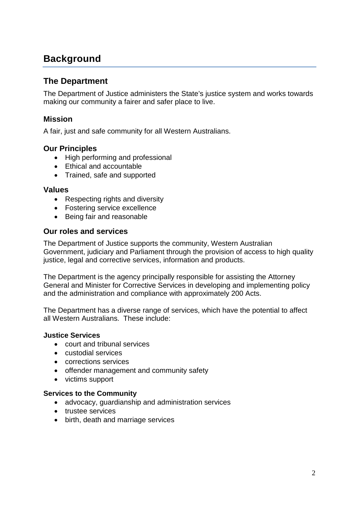## **Background**

## **The Department**

The Department of Justice administers the State's justice system and works towards making our community a fairer and safer place to live.

#### **Mission**

A fair, just and safe community for all Western Australians.

#### **Our Principles**

- High performing and professional
- Ethical and accountable
- Trained, safe and supported

#### **Values**

- Respecting rights and diversity
- Fostering service excellence
- Being fair and reasonable

#### **Our roles and services**

The Department of Justice supports the community, Western Australian Government, judiciary and Parliament through the provision of access to high quality justice, legal and corrective services, information and products.

The Department is the agency principally responsible for assisting the Attorney General and Minister for Corrective Services in developing and implementing policy and the administration and compliance with approximately 200 Acts.

The Department has a diverse range of services, which have the potential to affect all Western Australians. These include:

#### **Justice Services**

- court and tribunal services
- custodial services
- corrections services
- offender management and community safety
- victims support

#### **Services to the Community**

- advocacy, guardianship and administration services
- trustee services
- birth, death and marriage services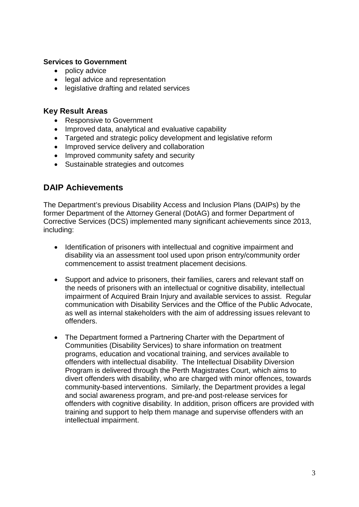#### **Services to Government**

- policy advice
- legal advice and representation
- legislative drafting and related services

#### **Key Result Areas**

- Responsive to Government
- Improved data, analytical and evaluative capability
- Targeted and strategic policy development and legislative reform
- Improved service delivery and collaboration
- Improved community safety and security
- Sustainable strategies and outcomes

## **DAIP Achievements**

The Department's previous Disability Access and Inclusion Plans (DAIPs) by the former Department of the Attorney General (DotAG) and former Department of Corrective Services (DCS) implemented many significant achievements since 2013, including:

- Identification of prisoners with intellectual and cognitive impairment and disability via an assessment tool used upon prison entry/community order commencement to assist treatment placement decisions.
- Support and advice to prisoners, their families, carers and relevant staff on the needs of prisoners with an intellectual or cognitive disability, intellectual impairment of Acquired Brain Injury and available services to assist. Regular communication with Disability Services and the Office of the Public Advocate, as well as internal stakeholders with the aim of addressing issues relevant to offenders.
- The Department formed a Partnering Charter with the Department of Communities (Disability Services) to share information on treatment programs, education and vocational training, and services available to offenders with intellectual disability. The Intellectual Disability Diversion Program is delivered through the Perth Magistrates Court, which aims to divert offenders with disability, who are charged with minor offences, towards community-based interventions. Similarly, the Department provides a legal and social awareness program, and pre-and post-release services for offenders with cognitive disability. In addition, prison officers are provided with training and support to help them manage and supervise offenders with an intellectual impairment.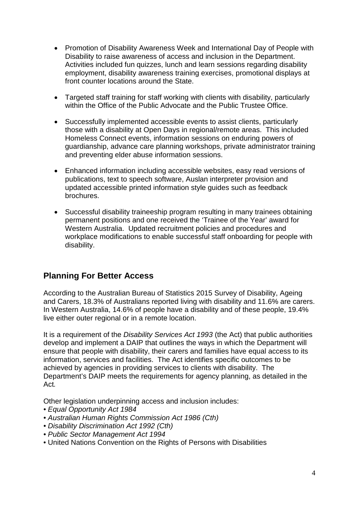- Promotion of Disability Awareness Week and International Day of People with Disability to raise awareness of access and inclusion in the Department. Activities included fun quizzes, lunch and learn sessions regarding disability employment, disability awareness training exercises, promotional displays at front counter locations around the State.
- Targeted staff training for staff working with clients with disability, particularly within the Office of the Public Advocate and the Public Trustee Office.
- Successfully implemented accessible events to assist clients, particularly those with a disability at Open Days in regional/remote areas. This included Homeless Connect events, information sessions on enduring powers of guardianship, advance care planning workshops, private administrator training and preventing elder abuse information sessions.
- Enhanced information including accessible websites, easy read versions of publications, text to speech software, Auslan interpreter provision and updated accessible printed information style guides such as feedback brochures.
- Successful disability traineeship program resulting in many trainees obtaining permanent positions and one received the 'Trainee of the Year' award for Western Australia. Updated recruitment policies and procedures and workplace modifications to enable successful staff onboarding for people with disability.

## **Planning For Better Access**

According to the Australian Bureau of Statistics 2015 Survey of Disability, Ageing and Carers, 18.3% of Australians reported living with disability and 11.6% are carers. In Western Australia, 14.6% of people have a disability and of these people, 19.4% live either outer regional or in a remote location.

It is a requirement of the *Disability Services Act 1993* (the Act) that public authorities develop and implement a DAIP that outlines the ways in which the Department will ensure that people with disability, their carers and families have equal access to its information, services and facilities. The Act identifies specific outcomes to be achieved by agencies in providing services to clients with disability. The Department's DAIP meets the requirements for agency planning, as detailed in the Act*.*

Other legislation underpinning access and inclusion includes:

- *Equal Opportunity Act 1984*
- *Australian Human Rights Commission Act 1986 (Cth)*
- *Disability Discrimination Act 1992 (Cth)*
- *Public Sector Management Act 1994*
- United Nations Convention on the Rights of Persons with Disabilities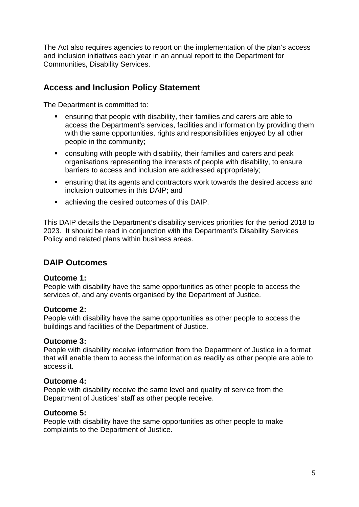The Act also requires agencies to report on the implementation of the plan's access and inclusion initiatives each year in an annual report to the Department for Communities, Disability Services.

## **Access and Inclusion Policy Statement**

The Department is committed to:

- ensuring that people with disability, their families and carers are able to access the Department's services, facilities and information by providing them with the same opportunities, rights and responsibilities enjoyed by all other people in the community;
- consulting with people with disability, their families and carers and peak organisations representing the interests of people with disability, to ensure barriers to access and inclusion are addressed appropriately;
- ensuring that its agents and contractors work towards the desired access and inclusion outcomes in this DAIP; and
- achieving the desired outcomes of this DAIP.

This DAIP details the Department's disability services priorities for the period 2018 to 2023. It should be read in conjunction with the Department's Disability Services Policy and related plans within business areas.

#### **DAIP Outcomes**

#### **Outcome 1:**

People with disability have the same opportunities as other people to access the services of, and any events organised by the Department of Justice.

#### **Outcome 2:**

People with disability have the same opportunities as other people to access the buildings and facilities of the Department of Justice.

#### **Outcome 3:**

People with disability receive information from the Department of Justice in a format that will enable them to access the information as readily as other people are able to access it.

#### **Outcome 4:**

People with disability receive the same level and quality of service from the Department of Justices' staff as other people receive.

#### **Outcome 5:**

People with disability have the same opportunities as other people to make complaints to the Department of Justice.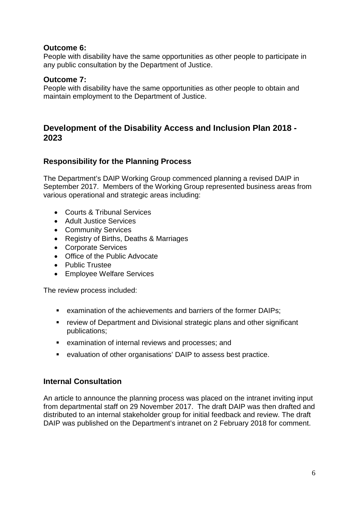#### **Outcome 6:**

People with disability have the same opportunities as other people to participate in any public consultation by the Department of Justice.

#### **Outcome 7:**

People with disability have the same opportunities as other people to obtain and maintain employment to the Department of Justice.

### **Development of the Disability Access and Inclusion Plan 2018 - 2023**

#### **Responsibility for the Planning Process**

The Department's DAIP Working Group commenced planning a revised DAIP in September 2017. Members of the Working Group represented business areas from various operational and strategic areas including:

- Courts & Tribunal Services
- Adult Justice Services
- Community Services
- Registry of Births, Deaths & Marriages
- Corporate Services
- Office of the Public Advocate
- Public Trustee
- Employee Welfare Services

The review process included:

- examination of the achievements and barriers of the former DAIPs;
- review of Department and Divisional strategic plans and other significant publications;
- examination of internal reviews and processes; and
- evaluation of other organisations' DAIP to assess best practice.

#### **Internal Consultation**

An article to announce the planning process was placed on the intranet inviting input from departmental staff on 29 November 2017. The draft DAIP was then drafted and distributed to an internal stakeholder group for initial feedback and review. The draft DAIP was published on the Department's intranet on 2 February 2018 for comment.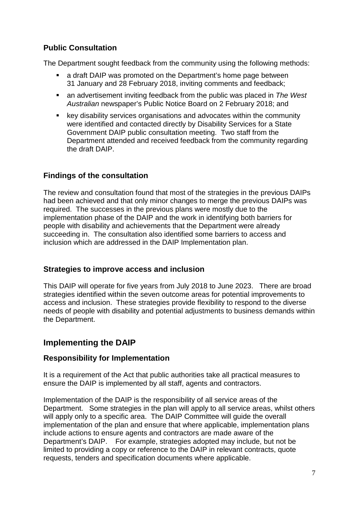## **Public Consultation**

The Department sought feedback from the community using the following methods:

- a draft DAIP was promoted on the Department's home page between 31 January and 28 February 2018, inviting comments and feedback;
- an advertisement inviting feedback from the public was placed in *The West Australian* newspaper's Public Notice Board on 2 February 2018; and
- key disability services organisations and advocates within the community were identified and contacted directly by Disability Services for a State Government DAIP public consultation meeting. Two staff from the Department attended and received feedback from the community regarding the draft DAIP.

#### **Findings of the consultation**

The review and consultation found that most of the strategies in the previous DAIPs had been achieved and that only minor changes to merge the previous DAIPs was required. The successes in the previous plans were mostly due to the implementation phase of the DAIP and the work in identifying both barriers for people with disability and achievements that the Department were already succeeding in. The consultation also identified some barriers to access and inclusion which are addressed in the DAIP Implementation plan.

#### **Strategies to improve access and inclusion**

This DAIP will operate for five years from July 2018 to June 2023. There are broad strategies identified within the seven outcome areas for potential improvements to access and inclusion. These strategies provide flexibility to respond to the diverse needs of people with disability and potential adjustments to business demands within the Department.

## **Implementing the DAIP**

#### **Responsibility for Implementation**

It is a requirement of the Act that public authorities take all practical measures to ensure the DAIP is implemented by all staff, agents and contractors.

Implementation of the DAIP is the responsibility of all service areas of the Department. Some strategies in the plan will apply to all service areas, whilst others will apply only to a specific area. The DAIP Committee will guide the overall implementation of the plan and ensure that where applicable, implementation plans include actions to ensure agents and contractors are made aware of the Department's DAIP. For example, strategies adopted may include, but not be limited to providing a copy or reference to the DAIP in relevant contracts, quote requests, tenders and specification documents where applicable.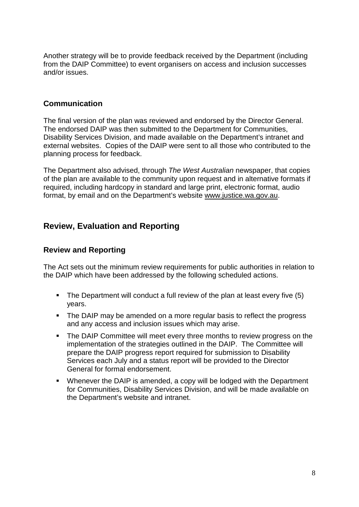Another strategy will be to provide feedback received by the Department (including from the DAIP Committee) to event organisers on access and inclusion successes and/or issues.

#### **Communication**

The final version of the plan was reviewed and endorsed by the Director General. The endorsed DAIP was then submitted to the Department for Communities, Disability Services Division, and made available on the Department's intranet and external websites. Copies of the DAIP were sent to all those who contributed to the planning process for feedback.

The Department also advised, through *The West Australian* newspaper, that copies of the plan are available to the community upon request and in alternative formats if required, including hardcopy in standard and large print, electronic format, audio format, by email and on the Department's website [www.justice.wa.gov.au.](http://www.justice.wa.gov.au/)

## **Review, Evaluation and Reporting**

#### **Review and Reporting**

The Act sets out the minimum review requirements for public authorities in relation to the DAIP which have been addressed by the following scheduled actions.

- The Department will conduct a full review of the plan at least every five (5) years.
- The DAIP may be amended on a more regular basis to reflect the progress and any access and inclusion issues which may arise.
- The DAIP Committee will meet every three months to review progress on the implementation of the strategies outlined in the DAIP. The Committee will prepare the DAIP progress report required for submission to Disability Services each July and a status report will be provided to the Director General for formal endorsement.
- Whenever the DAIP is amended, a copy will be lodged with the Department for Communities, Disability Services Division, and will be made available on the Department's website and intranet.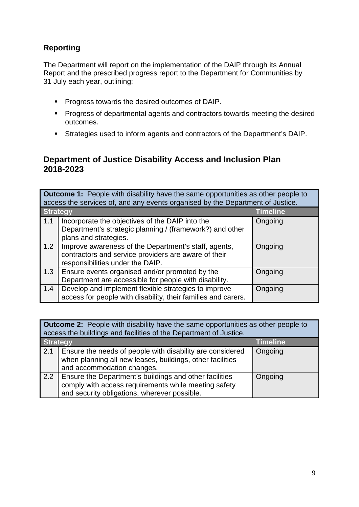## **Reporting**

The Department will report on the implementation of the DAIP through its Annual Report and the prescribed progress report to the Department for Communities by 31 July each year, outlining:

- **Progress towards the desired outcomes of DAIP.**
- **Progress of departmental agents and contractors towards meeting the desired** outcomes.
- Strategies used to inform agents and contractors of the Department's DAIP.

## **Department of Justice Disability Access and Inclusion Plan 2018-2023**

| <b>Outcome 1:</b> People with disability have the same opportunities as other people to<br>access the services of, and any events organised by the Department of Justice. |                                                                                                                                                  |                 |  |
|---------------------------------------------------------------------------------------------------------------------------------------------------------------------------|--------------------------------------------------------------------------------------------------------------------------------------------------|-----------------|--|
| <b>Strategy</b>                                                                                                                                                           |                                                                                                                                                  | <b>Timeline</b> |  |
| 1.1                                                                                                                                                                       | Incorporate the objectives of the DAIP into the<br>Department's strategic planning / (framework?) and other<br>plans and strategies.             | Ongoing         |  |
| 1.2                                                                                                                                                                       | Improve awareness of the Department's staff, agents,<br>contractors and service providers are aware of their<br>responsibilities under the DAIP. | Ongoing         |  |
| 1.3                                                                                                                                                                       | Ensure events organised and/or promoted by the<br>Department are accessible for people with disability.                                          | Ongoing         |  |
| 1.4                                                                                                                                                                       | Develop and implement flexible strategies to improve<br>access for people with disability, their families and carers.                            | Ongoing         |  |

**Outcome 2:** People with disability have the same opportunities as other people to access the buildings and facilities of the Department of Justice. **Strategy Timeline** 2.1 Ensure the needs of people with disability are considered when planning all new leases, buildings, other facilities and accommodation changes. Ongoing 2.2 Ensure the Department's buildings and other facilities comply with access requirements while meeting safety and security obligations, wherever possible. **Ongoing**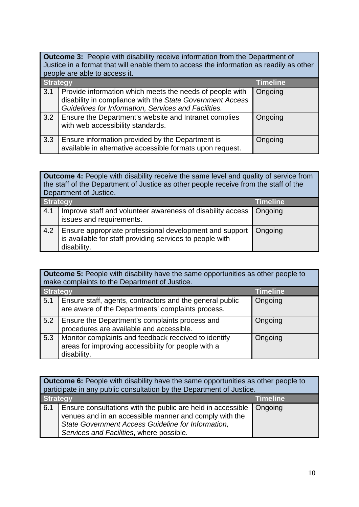| <b>Outcome 3:</b> People with disability receive information from the Department of<br>Justice in a format that will enable them to access the information as readily as other<br>people are able to access it. |                                                                                                                                                                               |                 |  |
|-----------------------------------------------------------------------------------------------------------------------------------------------------------------------------------------------------------------|-------------------------------------------------------------------------------------------------------------------------------------------------------------------------------|-----------------|--|
| <b>Strategy</b>                                                                                                                                                                                                 |                                                                                                                                                                               | <b>Timeline</b> |  |
| 3.1                                                                                                                                                                                                             | Provide information which meets the needs of people with<br>disability in compliance with the State Government Access<br>Guidelines for Information, Services and Facilities. | Ongoing         |  |
| 3.2                                                                                                                                                                                                             | Ensure the Department's website and Intranet complies<br>with web accessibility standards.                                                                                    | Ongoing         |  |
| 3.3                                                                                                                                                                                                             | Ensure information provided by the Department is<br>available in alternative accessible formats upon request.                                                                 | Ongoing         |  |

**Outcome 4:** People with disability receive the same level and quality of service from the staff of the Department of Justice as other people receive from the staff of the Department of Justice. **Strategy Timeline** 4.1 Improve staff and volunteer awareness of disability access issues and requirements. **Ongoing** 4.2 Ensure appropriate professional development and support is available for staff providing services to people with disability. **Ongoing** 

| <b>Outcome 5:</b> People with disability have the same opportunities as other people to<br>make complaints to the Department of Justice. |                                                                                                                            |                 |  |
|------------------------------------------------------------------------------------------------------------------------------------------|----------------------------------------------------------------------------------------------------------------------------|-----------------|--|
| <b>Strategy</b>                                                                                                                          |                                                                                                                            | <b>Timeline</b> |  |
| 5.1                                                                                                                                      | Ensure staff, agents, contractors and the general public<br>are aware of the Departments' complaints process.              | Ongoing         |  |
| 5.2                                                                                                                                      | Ensure the Department's complaints process and<br>procedures are available and accessible.                                 | Ongoing         |  |
| 5.3                                                                                                                                      | Monitor complaints and feedback received to identify<br>areas for improving accessibility for people with a<br>disability. | Ongoing         |  |

| <b>Outcome 6:</b> People with disability have the same opportunities as other people to<br>participate in any public consultation by the Department of Justice. |                                                                                                                                                                                                                                   |                 |  |
|-----------------------------------------------------------------------------------------------------------------------------------------------------------------|-----------------------------------------------------------------------------------------------------------------------------------------------------------------------------------------------------------------------------------|-----------------|--|
| <b>Strategy</b>                                                                                                                                                 |                                                                                                                                                                                                                                   | <b>Timeline</b> |  |
| 6.1                                                                                                                                                             | Ensure consultations with the public are held in accessible   Ongoing<br>venues and in an accessible manner and comply with the<br>State Government Access Guideline for Information,<br>Services and Facilities, where possible. |                 |  |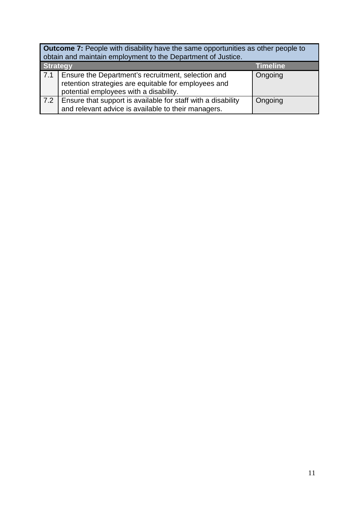| <b>Outcome 7:</b> People with disability have the same opportunities as other people to<br>obtain and maintain employment to the Department of Justice. |                                                                                                                                                            |                 |  |
|---------------------------------------------------------------------------------------------------------------------------------------------------------|------------------------------------------------------------------------------------------------------------------------------------------------------------|-----------------|--|
| <b>Strategy</b>                                                                                                                                         |                                                                                                                                                            | <b>Timeline</b> |  |
|                                                                                                                                                         | 7.1   Ensure the Department's recruitment, selection and<br>retention strategies are equitable for employees and<br>potential employees with a disability. | Ongoing         |  |
| 7.2                                                                                                                                                     | Ensure that support is available for staff with a disability<br>and relevant advice is available to their managers.                                        | Ongoing         |  |